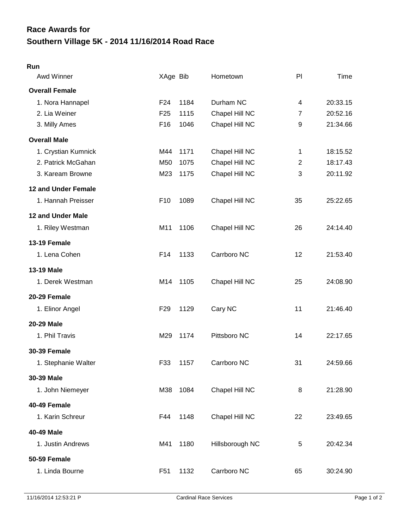## **Southern Village 5K - 2014 11/16/2014 Road Race Race Awards for**

## **Run**

| Awd Winner            | XAge Bib        |      | Hometown        | PI             | <b>Time</b> |
|-----------------------|-----------------|------|-----------------|----------------|-------------|
| <b>Overall Female</b> |                 |      |                 |                |             |
| 1. Nora Hannapel      | F <sub>24</sub> | 1184 | Durham NC       | 4              | 20:33.15    |
| 2. Lia Weiner         | F <sub>25</sub> | 1115 | Chapel Hill NC  | 7              | 20:52.16    |
| 3. Milly Ames         | F <sub>16</sub> | 1046 | Chapel Hill NC  | 9              | 21:34.66    |
| <b>Overall Male</b>   |                 |      |                 |                |             |
| 1. Crystian Kumnick   | M44             | 1171 | Chapel Hill NC  | $\mathbf{1}$   | 18:15.52    |
| 2. Patrick McGahan    | M50             | 1075 | Chapel Hill NC  | $\overline{2}$ | 18:17.43    |
| 3. Kaream Browne      | M23             | 1175 | Chapel Hill NC  | 3              | 20:11.92    |
| 12 and Under Female   |                 |      |                 |                |             |
| 1. Hannah Preisser    | F <sub>10</sub> | 1089 | Chapel Hill NC  | 35             | 25:22.65    |
| 12 and Under Male     |                 |      |                 |                |             |
| 1. Riley Westman      | M11             | 1106 | Chapel Hill NC  | 26             | 24:14.40    |
| 13-19 Female          |                 |      |                 |                |             |
| 1. Lena Cohen         | F <sub>14</sub> | 1133 | Carrboro NC     | 12             | 21:53.40    |
| 13-19 Male            |                 |      |                 |                |             |
| 1. Derek Westman      | M14             | 1105 | Chapel Hill NC  | 25             | 24:08.90    |
| 20-29 Female          |                 |      |                 |                |             |
| 1. Elinor Angel       | F <sub>29</sub> | 1129 | Cary NC         | 11             | 21:46.40    |
| 20-29 Male            |                 |      |                 |                |             |
| 1. Phil Travis        | M29             | 1174 | Pittsboro NC    | 14             | 22:17.65    |
| <b>30-39 Female</b>   |                 |      |                 |                |             |
| 1. Stephanie Walter   | F33             | 1157 | Carrboro NC     | 31             | 24:59.66    |
| 30-39 Male            |                 |      |                 |                |             |
| 1. John Niemeyer      | M38             | 1084 | Chapel Hill NC  | 8              | 21:28.90    |
| 40-49 Female          |                 |      |                 |                |             |
| 1. Karin Schreur      | F44             | 1148 | Chapel Hill NC  | 22             | 23:49.65    |
| 40-49 Male            |                 |      |                 |                |             |
| 1. Justin Andrews     | M41             | 1180 | Hillsborough NC | 5              | 20:42.34    |
| <b>50-59 Female</b>   |                 |      |                 |                |             |
| 1. Linda Bourne       | F <sub>51</sub> | 1132 | Carrboro NC     | 65             | 30:24.90    |
|                       |                 |      |                 |                |             |